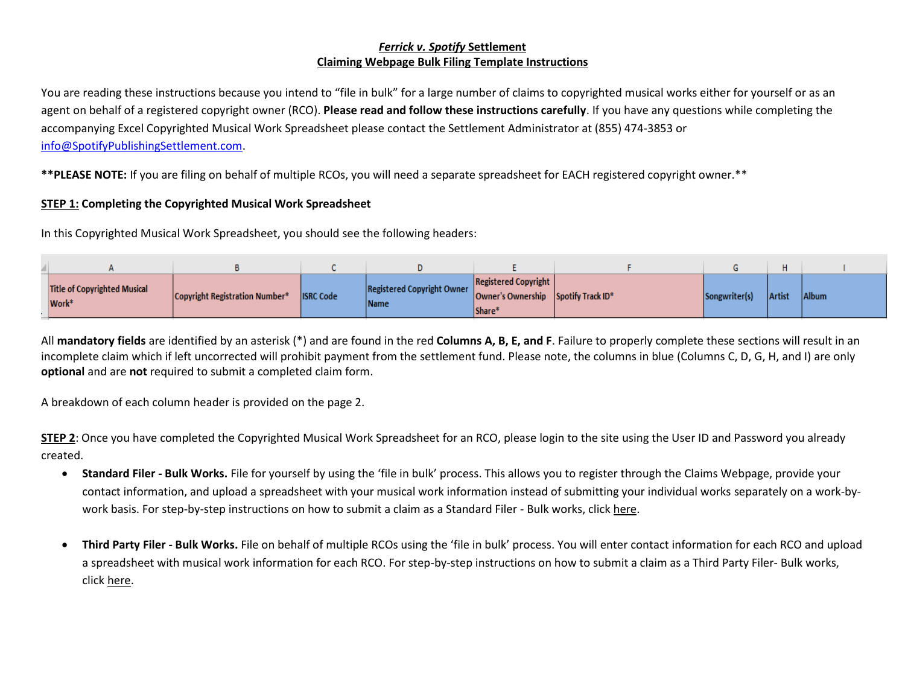## *Ferrick v. Spotify* **Settlement Claiming Webpage Bulk Filing Template Instructions**

You are reading these instructions because you intend to "file in bulk" for a large number of claims to copyrighted musical works either for yourself or as an agent on behalf of a registered copyright owner (RCO). **Please read and follow these instructions carefully**. If you have any questions while completing the accompanying Excel Copyrighted Musical Work Spreadsheet please contact the Settlement Administrator at (855) 474-3853 or [info@SpotifyPublishingSettlement.com.](mailto:info@SpotifyPublishingSettlement.com)

**\*\*PLEASE NOTE:** If you are filing on behalf of multiple RCOs, you will need a separate spreadsheet for EACH registered copyright owner.\*\*

## **STEP 1: Completing the Copyrighted Musical Work Spreadsheet**

In this Copyrighted Musical Work Spreadsheet, you should see the following headers:

| <b>Title of Copyrighted Musical</b><br>Work <sup>*</sup> | Copyright Registration Number* | <b>ISRC</b> Code | Registered Copyright Owner<br><b>Name</b> | <b>Registered Copyright</b><br>Owner's Ownership Spotify Track ID*<br>Share* | Songwriter(s) | <b>Artist</b> | Album |
|----------------------------------------------------------|--------------------------------|------------------|-------------------------------------------|------------------------------------------------------------------------------|---------------|---------------|-------|

All **mandatory fields** are identified by an asterisk (\*) and are found in the red **Columns A, B, E, and F**. Failure to properly complete these sections will result in an incomplete claim which if left uncorrected will prohibit payment from the settlement fund. Please note, the columns in blue (Columns C, D, G, H, and I) are only **optional** and are **not** required to submit a completed claim form.

A breakdown of each column header is provided on the page 2.

**STEP 2**: Once you have completed the Copyrighted Musical Work Spreadsheet for an RCO, please login to the site using the User ID and Password you already created.

- **Standard Filer - Bulk Works.** File for yourself by using the 'file in bulk' process. This allows you to register through the Claims Webpage, provide your contact information, and upload a spreadsheet with your musical work information instead of submitting your individual works separately on a work-bywork basis. For step-by-step instructions on how to submit a claim as a Standard Filer - Bulk works, click here.
- **Third Party Filer - Bulk Works.** File on behalf of multiple RCOs using the 'file in bulk' process. You will enter contact information for each RCO and upload a spreadsheet with musical work information for each RCO. For step-by-step instructions on how to submit a claim as a Third Party Filer- Bulk works, click here.